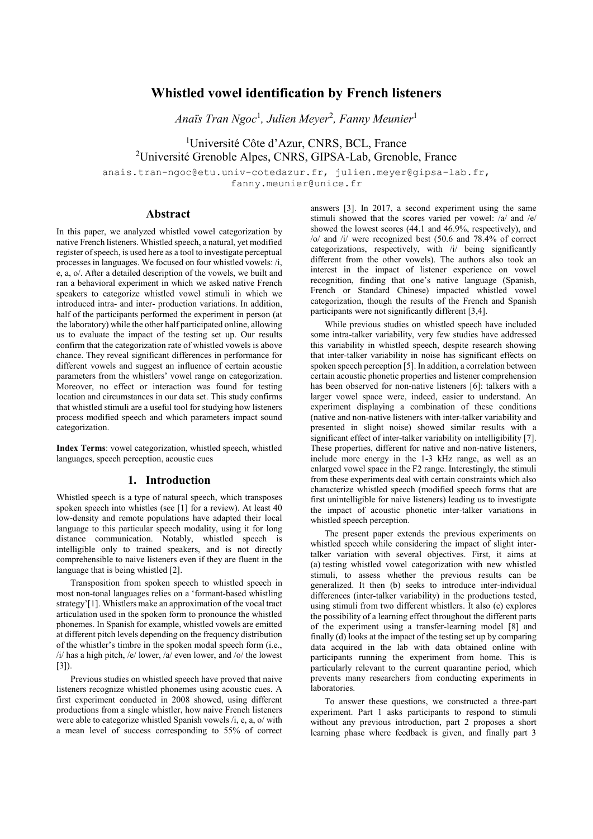# **Whistled vowel identification by French listeners**

*Anaïs Tran Ngoc*<sup>1</sup> *, Julien Meyer*<sup>2</sup> *, Fanny Meunier*<sup>1</sup>

<sup>1</sup>Université Côte d'Azur, CNRS, BCL, France <sup>2</sup>Université Grenoble Alpes, CNRS, GIPSA-Lab, Grenoble, France

anais.tran-ngoc@etu.univ-cotedazur.fr, julien.meyer@gipsa-lab.fr, fanny.meunier@unice.fr

### **Abstract**

In this paper, we analyzed whistled vowel categorization by native French listeners. Whistled speech, a natural, yet modified register of speech, is used here as a tool to investigate perceptual processes in languages. We focused on four whistled vowels: /i, e, a, o/. After a detailed description of the vowels, we built and ran a behavioral experiment in which we asked native French speakers to categorize whistled vowel stimuli in which we introduced intra- and inter- production variations. In addition, half of the participants performed the experiment in person (at the laboratory) while the other half participated online, allowing us to evaluate the impact of the testing set up. Our results confirm that the categorization rate of whistled vowels is above chance. They reveal significant differences in performance for different vowels and suggest an influence of certain acoustic parameters from the whistlers' vowel range on categorization. Moreover, no effect or interaction was found for testing location and circumstances in our data set. This study confirms that whistled stimuli are a useful tool for studying how listeners process modified speech and which parameters impact sound categorization.

**Index Terms**: vowel categorization, whistled speech, whistled languages, speech perception, acoustic cues

### **1. Introduction**

Whistled speech is a type of natural speech, which transposes spoken speech into whistles (see [1] for a review). At least 40 low-density and remote populations have adapted their local language to this particular speech modality, using it for long distance communication. Notably, whistled speech is intelligible only to trained speakers, and is not directly comprehensible to naive listeners even if they are fluent in the language that is being whistled [2].

Transposition from spoken speech to whistled speech in most non-tonal languages relies on a 'formant-based whistling strategy'[1]. Whistlers make an approximation of the vocal tract articulation used in the spoken form to pronounce the whistled phonemes. In Spanish for example, whistled vowels are emitted at different pitch levels depending on the frequency distribution of the whistler's timbre in the spoken modal speech form (i.e., /i/ has a high pitch, /e/ lower, /a/ even lower, and /o/ the lowest [3]).<br>Previous studies on whistled speech have proved that naive

listeners recognize whistled phonemes using acoustic cues. A first experiment conducted in 2008 showed, using different productions from a single whistler, how naive French listeners were able to categorize whistled Spanish vowels /i, e, a, o/ with a mean level of success corresponding to 55% of correct answers [3]. In 2017, a second experiment using the same stimuli showed that the scores varied per vowel: /a/ and /e/ showed the lowest scores (44.1 and 46.9%, respectively), and /o/ and /i/ were recognized best (50.6 and 78.4% of correct categorizations, respectively, with /i/ being significantly different from the other vowels). The authors also took an interest in the impact of listener experience on vowel recognition, finding that one's native language (Spanish, French or Standard Chinese) impacted whistled vowel categorization, though the results of the French and Spanish participants were not significantly different [3,4].

While previous studies on whistled speech have included some intra-talker variability, very few studies have addressed this variability in whistled speech, despite research showing that inter-talker variability in noise has significant effects on spoken speech perception [5]. In addition, a correlation between certain acoustic phonetic properties and listener comprehension has been observed for non-native listeners [6]: talkers with a larger vowel space were, indeed, easier to understand. An experiment displaying a combination of these conditions (native and non-native listeners with inter-talker variability and presented in slight noise) showed similar results with a significant effect of inter-talker variability on intelligibility [7]. These properties, different for native and non-native listeners, include more energy in the 1-3 kHz range, as well as an enlarged vowel space in the F2 range. Interestingly, the stimuli from these experiments deal with certain constraints which also characterize whistled speech (modified speech forms that are first unintelligible for naive listeners) leading us to investigate the impact of acoustic phonetic inter-talker variations in whistled speech perception.

The present paper extends the previous experiments on whistled speech while considering the impact of slight intertalker variation with several objectives. First, it aims at (a) testing whistled vowel categorization with new whistled stimuli, to assess whether the previous results can be generalized. It then (b) seeks to introduce inter-individual differences (inter-talker variability) in the productions tested, using stimuli from two different whistlers. It also (c) explores the possibility of a learning effect throughout the different parts of the experiment using a transfer-learning model [8] and finally (d) looks at the impact of the testing set up by comparing data acquired in the lab with data obtained online with participants running the experiment from home. This is particularly relevant to the current quarantine period, which prevents many researchers from conducting experiments in laboratories.

To answer these questions, we constructed a three-part experiment. Part 1 asks participants to respond to stimuli without any previous introduction, part 2 proposes a short learning phase where feedback is given, and finally part 3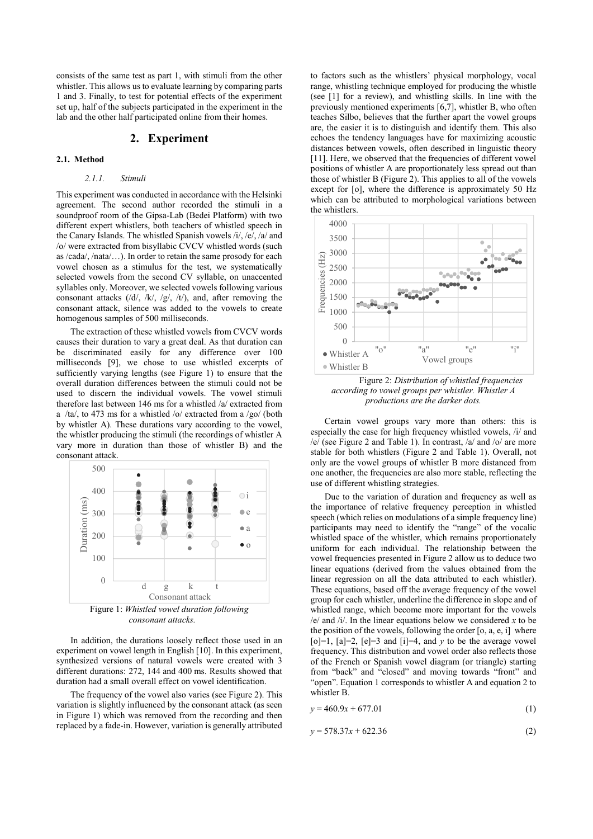consists of the same test as part 1, with stimuli from the other whistler. This allows us to evaluate learning by comparing parts 1 and 3. Finally, to test for potential effects of the experiment set up, half of the subjects participated in the experiment in the lab and the other half participated online from their homes.

#### **2. Experiment**

#### **2.1. Method**

#### *2.1.1. Stimuli*

This experiment was conducted in accordance with the Helsinki agreement. The second author recorded the stimuli in a soundproof room of the Gipsa-Lab (Bedei Platform) with two different expert whistlers, both teachers of whistled speech in the Canary Islands. The whistled Spanish vowels /i/, /e/, /a/ and /o/ were extracted from bisyllabic CVCV whistled words (such as /cada/, /nata/…). In order to retain the same prosody for each vowel chosen as a stimulus for the test, we systematically selected vowels from the second CV syllable, on unaccented syllables only. Moreover, we selected vowels following various consonant attacks (/d/, /k/, /g/, /t/), and, after removing the consonant attack, silence was added to the vowels to create homogenous samples of 500 milliseconds.

The extraction of these whistled vowels from CVCV words causes their duration to vary a great deal. As that duration can be discriminated easily for any difference over 100 milliseconds [9], we chose to use whistled excerpts of sufficiently varying lengths (see Figure 1) to ensure that the overall duration differences between the stimuli could not be used to discern the individual vowels. The vowel stimuli therefore last between 146 ms for a whistled /a/ extracted from a /ta/, to 473 ms for a whistled /o/ extracted from a /go/ (both by whistler A). These durations vary according to the vowel, the whistler producing the stimuli (the recordings of whistler A vary more in duration than those of whistler B) and the consonant attack.



*consonant attacks.*

In addition, the durations loosely reflect those used in an experiment on vowel length in English [10]. In this experiment, synthesized versions of natural vowels were created with 3 different durations: 272, 144 and 400 ms. Results showed that duration had a small overall effect on vowel identification.

The frequency of the vowel also varies (see Figure 2). This variation is slightly influenced by the consonant attack (as seen in Figure 1) which was removed from the recording and then replaced by a fade-in. However, variation is generally attributed to factors such as the whistlers' physical morphology, vocal range, whistling technique employed for producing the whistle (see [1] for a review), and whistling skills. In line with the previously mentioned experiments [6,7], whistler B, who often teaches Silbo, believes that the further apart the vowel groups are, the easier it is to distinguish and identify them. This also echoes the tendency languages have for maximizing acoustic distances between vowels, often described in linguistic theory [11]. Here, we observed that the frequencies of different vowel positions of whistler A are proportionately less spread out than those of whistler B (Figure 2). This applies to all of the vowels except for [o], where the difference is approximately 50 Hz which can be attributed to morphological variations between the whistlers.



Figure 2: *Distribution of whistled frequencies according to vowel groups per whistler. Whistler A productions are the darker dots.*

Certain vowel groups vary more than others: this is especially the case for high frequency whistled vowels, /i/ and /e/ (see Figure 2 and Table 1). In contrast, /a/ and /o/ are more stable for both whistlers (Figure 2 and Table 1). Overall, not only are the vowel groups of whistler B more distanced from one another, the frequencies are also more stable, reflecting the use of different whistling strategies.

Due to the variation of duration and frequency as well as the importance of relative frequency perception in whistled speech (which relies on modulations of a simple frequency line) participants may need to identify the "range" of the vocalic whistled space of the whistler, which remains proportionately uniform for each individual. The relationship between the vowel frequencies presented in Figure 2 allow us to deduce two linear equations (derived from the values obtained from the linear regression on all the data attributed to each whistler). These equations, based off the average frequency of the vowel group for each whistler, underline the difference in slope and of whistled range, which become more important for the vowels /e/ and /i/. In the linear equations below we considered *x* to be the position of the vowels, following the order  $[0, a, e, i]$  where  $[o]=1$ ,  $[a]=2$ ,  $[e]=3$  and  $[i]=4$ , and  $y$  to be the average vowel frequency. This distribution and vowel order also reflects those of the French or Spanish vowel diagram (or triangle) starting from "back" and "closed" and moving towards "front" and "open". Equation 1 corresponds to whistler A and equation 2 to whistler B.

$$
y = 460.9x + 677.01\tag{1}
$$

$$
y = 578.37x + 622.36\tag{2}
$$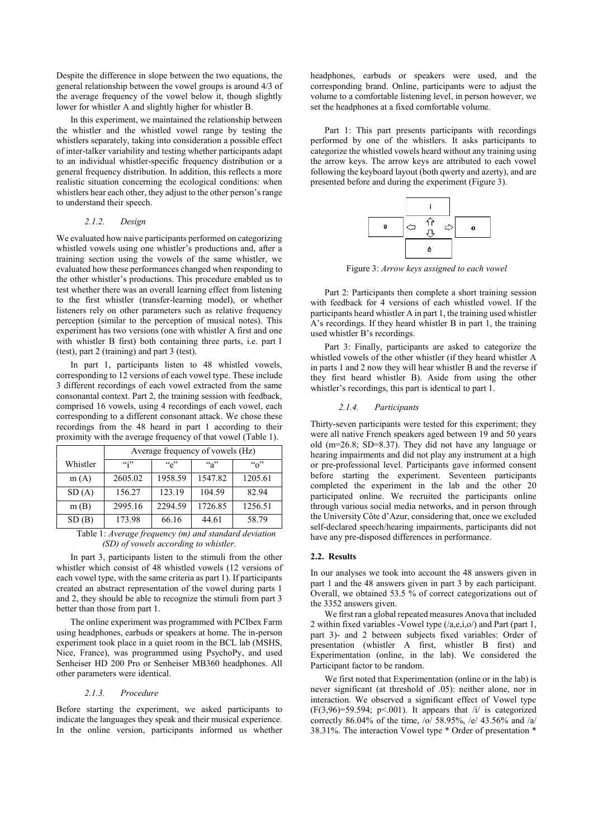Despite the difference in slope between the two equations, the general relationship between the vowel groups is around 4/3 of the average frequency of the vowel below it, though slightly lower for whistler A and slightly higher for whistler B.

In this experiment, we maintained the relationship between the whistler and the whistled vowel range by testing the whistlers separately, taking into consideration a possible effect of inter-talker variability and testing whether participants adapt to an individual whistler-specific frequency distribution or a general frequency distribution. In addition, this reflects a more realistic situation concerning the ecological conditions: when whistlers hear each other, they adjust to the other person's range to understand their speech.

#### *2.1.2. Design*

We evaluated how naive participants performed on categorizing whistled vowels using one whistler's productions and, after a training section using the vowels of the same whistler, we evaluated how these performances changed when responding to the other whistler's productions. This procedure enabled us to test whether there was an overall learning effect from listening to the first whistler (transfer-learning model), or whether listeners rely on other parameters such as relative frequency perception (similar to the perception of musical notes). This experiment has two versions (one with whistler A first and one with whistler B first) both containing three parts, i.e. part 1 (test), part 2 (training) and part 3 (test).

In part 1, participants listen to 48 whistled vowels, corresponding to 12 versions of each vowel type. These include 3 different recordings of each vowel extracted from the same consonantal context. Part 2, the training session with feedback, comprised 16 vowels, using 4 recordings of each vowel, each corresponding to a different consonant attack. We chose these recordings from the 48 heard in part 1 according to their proximity with the average frequency of that vowel (Table 1).

|          | Average frequency of vowels (Hz) |         |         |             |
|----------|----------------------------------|---------|---------|-------------|
| Whistler | 4432                             | ``e"    | $a^3$   | $``\alpha"$ |
| m(A)     | 2605.02                          | 1958.59 | 1547.82 | 1205.61     |
| SD(A)    | 156.27                           | 123.19  | 104.59  | 82.94       |
| m(B)     | 2995.16                          | 2294.59 | 1726.85 | 1256.51     |
| SD(B)    | 173.98                           | 66.16   | 44.61   | 58.79       |

Table 1: *Average frequency (m) and standard deviation (SD) of vowels according to whistler.*

In part 3, participants listen to the stimuli from the other whistler which consist of 48 whistled vowels (12 versions of each vowel type, with the same criteria as part 1). If participants created an abstract representation of the vowel during parts 1 and 2, they should be able to recognize the stimuli from part 3 better than those from part 1.

The online experiment was programmed with PCIbex Farm using headphones, earbuds or speakers at home. The in-person experiment took place in a quiet room in the BCL lab (MSHS, Nice, France), was programmed using PsychoPy, and used Senheiser HD 200 Pro or Senheiser MB360 headphones. All other parameters were identical.

#### *2.1.3. Procedure*

Before starting the experiment, we asked participants to indicate the languages they speak and their musical experience. In the online version, participants informed us whether headphones, earbuds or speakers were used, and the corresponding brand. Online, participants were to adjust the volume to a comfortable listening level, in person however, we set the headphones at a fixed comfortable volume.

Part 1: This part presents participants with recordings performed by one of the whistlers. It asks participants to categorize the whistled vowels heard without any training using the arrow keys. The arrow keys are attributed to each vowel following the keyboard layout (both qwerty and azerty), and are presented before and during the experiment (Figure 3).



Figure 3: *Arrow keys assigned to each vowel*

Part 2: Participants then complete a short training session with feedback for 4 versions of each whistled vowel. If the participants heard whistler A in part 1, the training used whistler A's recordings. If they heard whistler B in part 1, the training used whistler B's recordings.

Part 3: Finally, participants are asked to categorize the whistled vowels of the other whistler (if they heard whistler A in parts 1 and 2 now they will hear whistler B and the reverse if they first heard whistler B). Aside from using the other whistler's recordings, this part is identical to part 1.

#### *2.1.4. Participants*

Thirty-seven participants were tested for this experiment; they were all native French speakers aged between 19 and 50 years old (m=26.8; SD=8.37). They did not have any language or hearing impairments and did not play any instrument at a high or pre-professional level. Participants gave informed consent before starting the experiment. Seventeen participants completed the experiment in the lab and the other 20 participated online. We recruited the participants online through various social media networks, and in person through the University Côte d'Azur, considering that, once we excluded self-declared speech/hearing impairments, participants did not have any pre-disposed differences in performance.

#### **2.2. Results**

In our analyses we took into account the 48 answers given in part 1 and the 48 answers given in part 3 by each participant. Overall, we obtained 53.5 % of correct categorizations out of the 3352 answers given.

We first ran a global repeated measures Anova that included 2 within fixed variables -Vowel type (/a,e,i,o/) and Part (part 1, part 3)- and 2 between subjects fixed variables: Order of presentation (whistler A first, whistler B first) and Experimentation (online, in the lab). We considered the Participant factor to be random.

We first noted that Experimentation (online or in the lab) is never significant (at threshold of .05): neither alone, nor in interaction. We observed a significant effect of Vowel type  $(F(3,96)=59.594; p<.001)$ . It appears that /i/ is categorized correctly 86.04% of the time, /o/ 58.95%, /e/ 43.56% and /a/ 38.31%. The interaction Vowel type \* Order of presentation \*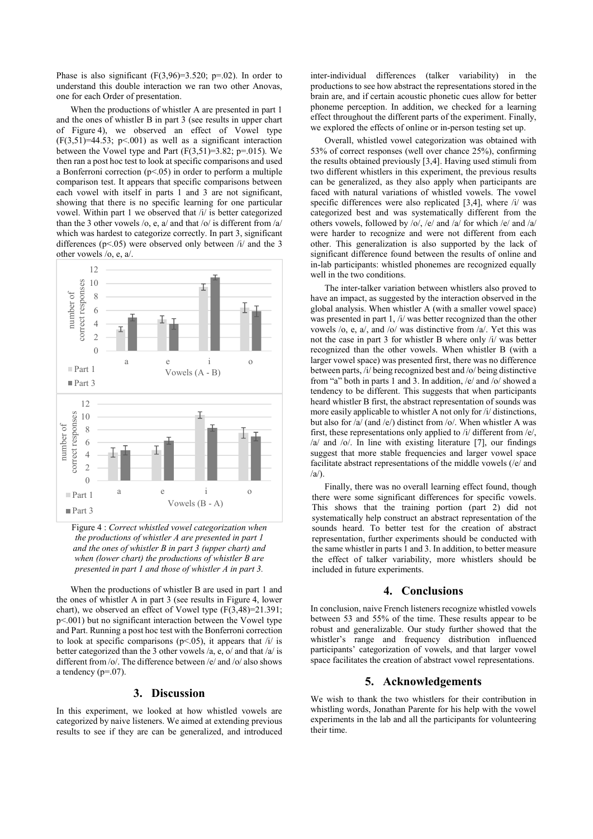Phase is also significant  $(F(3.96)=3.520; p=.02)$ . In order to understand this double interaction we ran two other Anovas, one for each Order of presentation.

When the productions of whistler A are presented in part 1 and the ones of whistler B in part 3 (see results in upper chart of Figure 4), we observed an effect of Vowel type  $(F(3,51)=44.53; p<.001)$  as well as a significant interaction between the Vowel type and Part  $(F(3,51)=3.82; p=.015)$ . We then ran a post hoc test to look at specific comparisons and used a Bonferroni correction  $(p<.05)$  in order to perform a multiple comparison test. It appears that specific comparisons between each vowel with itself in parts 1 and 3 are not significant, showing that there is no specific learning for one particular vowel. Within part 1 we observed that /i/ is better categorized than the 3 other vowels /o, e, a/ and that /o/ is different from /a/ which was hardest to categorize correctly. In part 3, significant differences ( $p$ <.05) were observed only between  $/i$  and the 3 other vowels /o, e, a/.



Figure 4 :*Correct whistled vowel categorization when the productions of whistler A are presented in part 1 and the ones of whistler B in part 3 (upper chart) and when (lower chart) the productions of whistler B are presented in part 1 and those of whistler A in part 3.*

When the productions of whistler B are used in part 1 and the ones of whistler A in part 3 (see results in Figure 4, lower chart), we observed an effect of Vowel type (F(3,48)=21.391; p<.001) but no significant interaction between the Vowel type and Part. Running a post hoc test with the Bonferroni correction to look at specific comparisons ( $p$ <.05), it appears that  $/i$  is better categorized than the 3 other vowels /a, e, o/ and that /a/ is different from /o/. The difference between /e/ and /o/ also shows a tendency  $(p=07)$ .

### **3. Discussion**

In this experiment, we looked at how whistled vowels are categorized by naive listeners. We aimed at extending previous results to see if they are can be generalized, and introduced inter-individual differences (talker variability) in the productions to see how abstract the representations stored in the brain are, and if certain acoustic phonetic cues allow for better phoneme perception. In addition, we checked for a learning effect throughout the different parts of the experiment. Finally, we explored the effects of online or in-person testing set up.

Overall, whistled vowel categorization was obtained with 53% of correct responses (well over chance 25%), confirming the results obtained previously [3,4]. Having used stimuli from two different whistlers in this experiment, the previous results can be generalized, as they also apply when participants are faced with natural variations of whistled vowels. The vowel specific differences were also replicated [3,4], where /i/ was categorized best and was systematically different from the others vowels, followed by /o/, /e/ and /a/ for which /e/ and /a/ were harder to recognize and were not different from each other. This generalization is also supported by the lack of significant difference found between the results of online and in-lab participants: whistled phonemes are recognized equally well in the two conditions.

The inter-talker variation between whistlers also proved to have an impact, as suggested by the interaction observed in the global analysis. When whistler A (with a smaller vowel space) was presented in part 1, /i/ was better recognized than the other vowels /o, e, a/, and /o/ was distinctive from /a/. Yet this was not the case in part 3 for whistler B where only /i/ was better recognized than the other vowels. When whistler B (with a larger vowel space) was presented first, there was no difference between parts, /i/ being recognized best and /o/ being distinctive from "a" both in parts 1 and 3. In addition, /e/ and /o/ showed a tendency to be different. This suggests that when participants heard whistler B first, the abstract representation of sounds was more easily applicable to whistler A not only for  $/i$  distinctions, but also for  $\sqrt{a}$  (and /e/) distinct from /o/. When whistler A was first, these representations only applied to /i/ different from /e/, /a/ and /o/. In line with existing literature [7], our findings suggest that more stable frequencies and larger vowel space facilitate abstract representations of the middle vowels (/e/ and  $\langle a \rangle$ .

Finally, there was no overall learning effect found, though there were some significant differences for specific vowels. This shows that the training portion (part 2) did not systematically help construct an abstract representation of the sounds heard. To better test for the creation of abstract representation, further experiments should be conducted with the same whistler in parts 1 and 3. In addition, to better measure the effect of talker variability, more whistlers should be included in future experiments.

### **4. Conclusions**

In conclusion, naive French listeners recognize whistled vowels between 53 and 55% of the time. These results appear to be robust and generalizable. Our study further showed that the whistler's range and frequency distribution influenced participants' categorization of vowels, and that larger vowel space facilitates the creation of abstract vowel representations.

### **5. Acknowledgements**

We wish to thank the two whistlers for their contribution in whistling words, Jonathan Parente for his help with the vowel experiments in the lab and all the participants for volunteering their time.